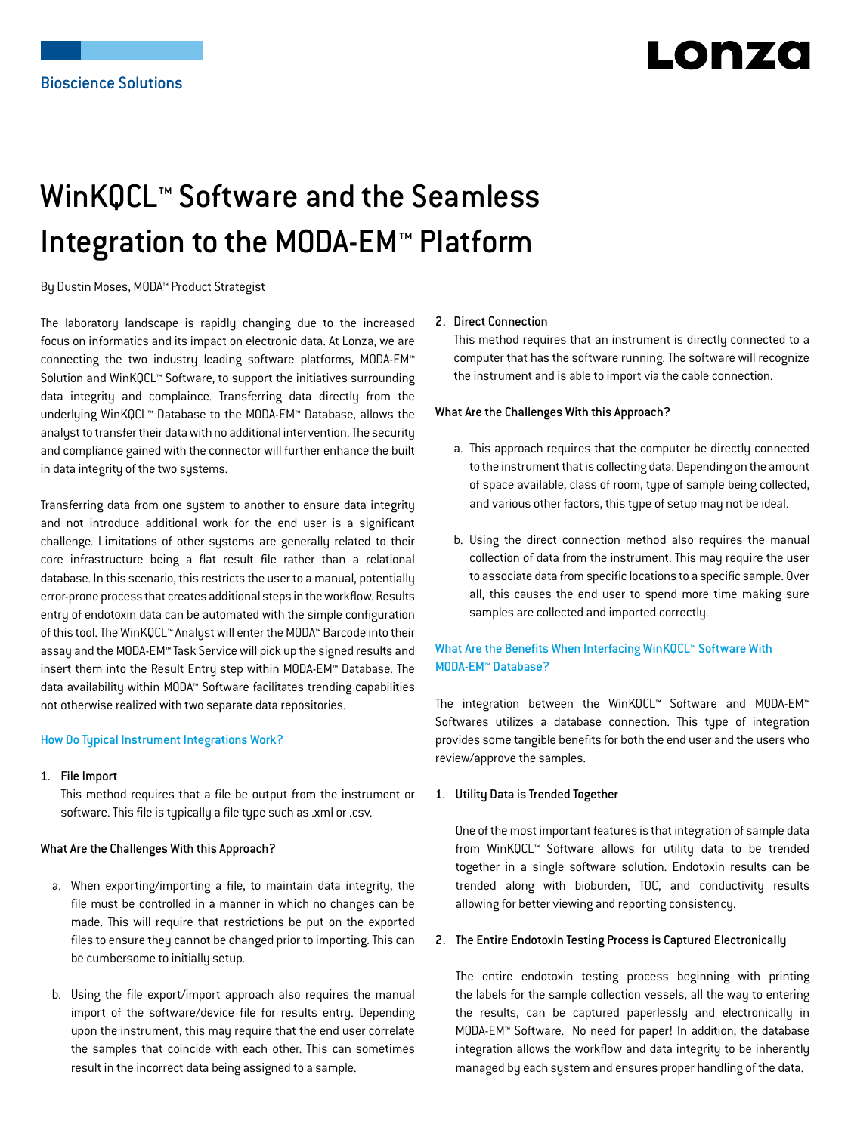# Lonzo

# WinKQCL™ Software and the Seamless Integration to the MODA-EM™ Platform

By Dustin Moses, MODA™ Product Strategist

The laboratory landscape is rapidly changing due to the increased focus on informatics and its impact on electronic data. At Lonza, we are connecting the two industry leading software platforms, MODA-EM™ Solution and WinKQCL™ Software, to support the initiatives surrounding data integrity and complaince. Transferring data directly from the underlying WinKQCL™ Database to the MODA-EM™ Database, allows the analyst to transfer their data with no additional intervention. The security and compliance gained with the connector will further enhance the built in data integrity of the two systems.

Transferring data from one system to another to ensure data integrity and not introduce additional work for the end user is a significant challenge. Limitations of other systems are generally related to their core infrastructure being a flat result file rather than a relational database. In this scenario, this restricts the user to a manual, potentially error-prone process that creates additional steps in the workflow. Results entry of endotoxin data can be automated with the simple configuration of this tool. The WinKQCL™ Analyst will enter the MODA™ Barcode into their assay and the MODA-EM™ Task Service will pick up the signed results and insert them into the Result Entry step within MODA-EM™ Database. The data availability within MODA™ Software facilitates trending capabilities not otherwise realized with two separate data repositories.

#### How Do Typical Instrument Integrations Work?

1. File Import

This method requires that a file be output from the instrument or software. This file is typically a file type such as .xml or .csv.

#### What Are the Challenges With this Approach?

- a. When exporting/importing a file, to maintain data integrity, the file must be controlled in a manner in which no changes can be made. This will require that restrictions be put on the exported files to ensure they cannot be changed prior to importing. This can be cumbersome to initially setup.
- b. Using the file export/import approach also requires the manual import of the software/device file for results entry. Depending upon the instrument, this may require that the end user correlate the samples that coincide with each other. This can sometimes result in the incorrect data being assigned to a sample.

#### 2. Direct Connection

This method requires that an instrument is directly connected to a computer that has the software running. The software will recognize the instrument and is able to import via the cable connection.

#### What Are the Challenges With this Approach?

- a. This approach requires that the computer be directly connected to the instrument that is collecting data. Depending on the amount of space available, class of room, type of sample being collected, and various other factors, this type of setup may not be ideal.
- b. Using the direct connection method also requires the manual collection of data from the instrument. This may require the user to associate data from specific locations to a specific sample. Over all, this causes the end user to spend more time making sure samples are collected and imported correctly.

### What Are the Benefits When Interfacing WinKQCL™ Software With MODA-EM™ Database?

The integration between the WinKQCL™ Software and MODA-EM™ Softwares utilizes a database connection. This type of integration provides some tangible benefits for both the end user and the users who review/approve the samples.

#### 1. Utility Data is Trended Together

One of the most important features is that integration of sample data from WinKQCL™ Software allows for utility data to be trended together in a single software solution. Endotoxin results can be trended along with bioburden, TOC, and conductivity results allowing for better viewing and reporting consistency.

#### 2. The Entire Endotoxin Testing Process is Captured Electronically

The entire endotoxin testing process beginning with printing the labels for the sample collection vessels, all the way to entering the results, can be captured paperlessly and electronically in MODA-EM™ Software. No need for paper! In addition, the database integration allows the workflow and data integrity to be inherently managed by each system and ensures proper handling of the data.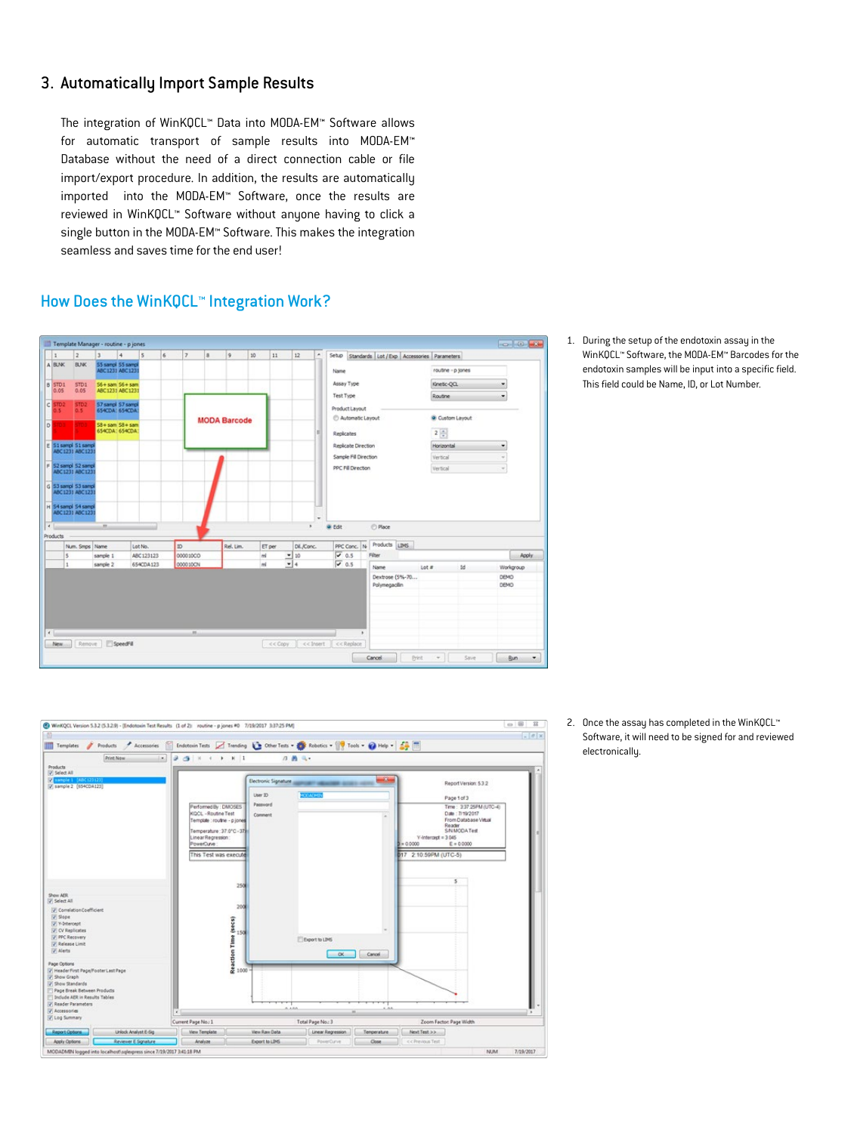## 3. Automatically Import Sample Results

The integration of WinKQCL™ Data into MODA-EM™ Software allows for automatic transport of sample results into MODA-EM™ Database without the need of a direct connection cable or file import/export procedure. In addition, the results are automatically imported into the MODA-EM™ Software, once the results are reviewed in WinKQCL™ Software without anyone having to click a single button in the MODA-EM™ Software. This makes the integration seamless and saves time for the end user!

### How Does the WinKQCL™ Integration Work?



1. During the setup of the endotoxin assay in the WinKQCL™ Software, the MODA-EM™ Barcodes for the endotoxin samples will be input into a specific field. This field could be Name, ID, or Lot Number.



2. Once the assay has completed in the WinKQCL™ Software, it will need to be signed for and reviewed electronically.